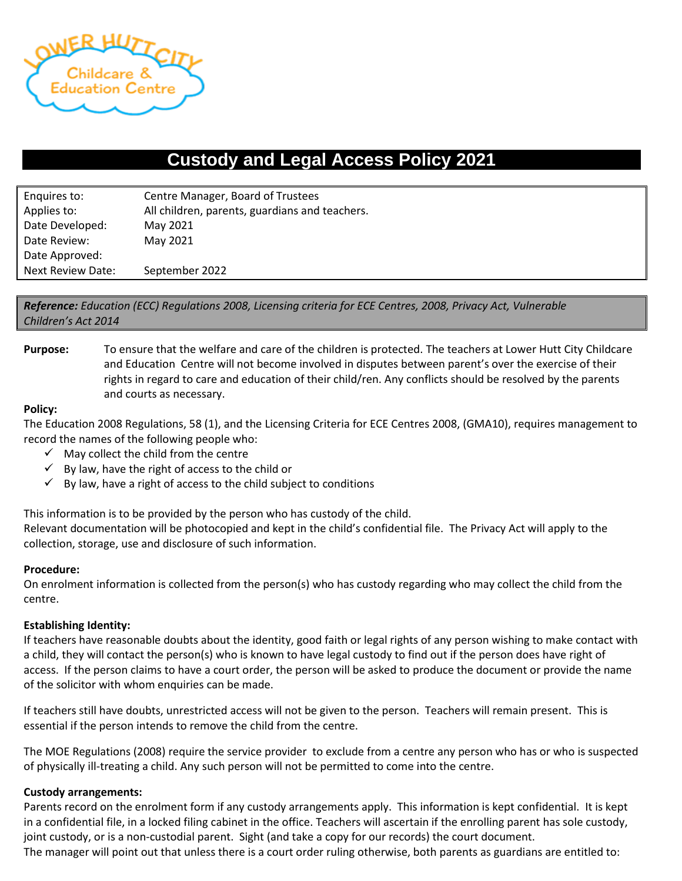

# **Custody and Legal Access Policy 2021**

| Enquires to:      | Centre Manager, Board of Trustees              |  |
|-------------------|------------------------------------------------|--|
| Applies to:       | All children, parents, guardians and teachers. |  |
| Date Developed:   | May 2021                                       |  |
| Date Review:      | May 2021                                       |  |
| Date Approved:    |                                                |  |
| Next Review Date: | September 2022                                 |  |

*Reference: Education (ECC) Regulations 2008, Licensing criteria for ECE Centres, 2008, Privacy Act, Vulnerable Children's Act 2014*

**Purpose:** To ensure that the welfare and care of the children is protected. The teachers at Lower Hutt City Childcare and Education Centre will not become involved in disputes between parent's over the exercise of their rights in regard to care and education of their child/ren. Any conflicts should be resolved by the parents and courts as necessary.

## **Policy:**

The Education 2008 Regulations, 58 (1), and the Licensing Criteria for ECE Centres 2008, (GMA10), requires management to record the names of the following people who:

- $\checkmark$  May collect the child from the centre
- $\checkmark$  By law, have the right of access to the child or
- $\checkmark$  By law, have a right of access to the child subject to conditions

This information is to be provided by the person who has custody of the child.

Relevant documentation will be photocopied and kept in the child's confidential file. The Privacy Act will apply to the collection, storage, use and disclosure of such information.

#### **Procedure:**

On enrolment information is collected from the person(s) who has custody regarding who may collect the child from the centre.

#### **Establishing Identity:**

If teachers have reasonable doubts about the identity, good faith or legal rights of any person wishing to make contact with a child, they will contact the person(s) who is known to have legal custody to find out if the person does have right of access. If the person claims to have a court order, the person will be asked to produce the document or provide the name of the solicitor with whom enquiries can be made.

If teachers still have doubts, unrestricted access will not be given to the person. Teachers will remain present. This is essential if the person intends to remove the child from the centre.

The MOE Regulations (2008) require the service provider to exclude from a centre any person who has or who is suspected of physically ill-treating a child. Any such person will not be permitted to come into the centre.

#### **Custody arrangements:**

Parents record on the enrolment form if any custody arrangements apply. This information is kept confidential. It is kept in a confidential file, in a locked filing cabinet in the office. Teachers will ascertain if the enrolling parent has sole custody, joint custody, or is a non-custodial parent. Sight (and take a copy for our records) the court document.

The manager will point out that unless there is a court order ruling otherwise, both parents as guardians are entitled to: